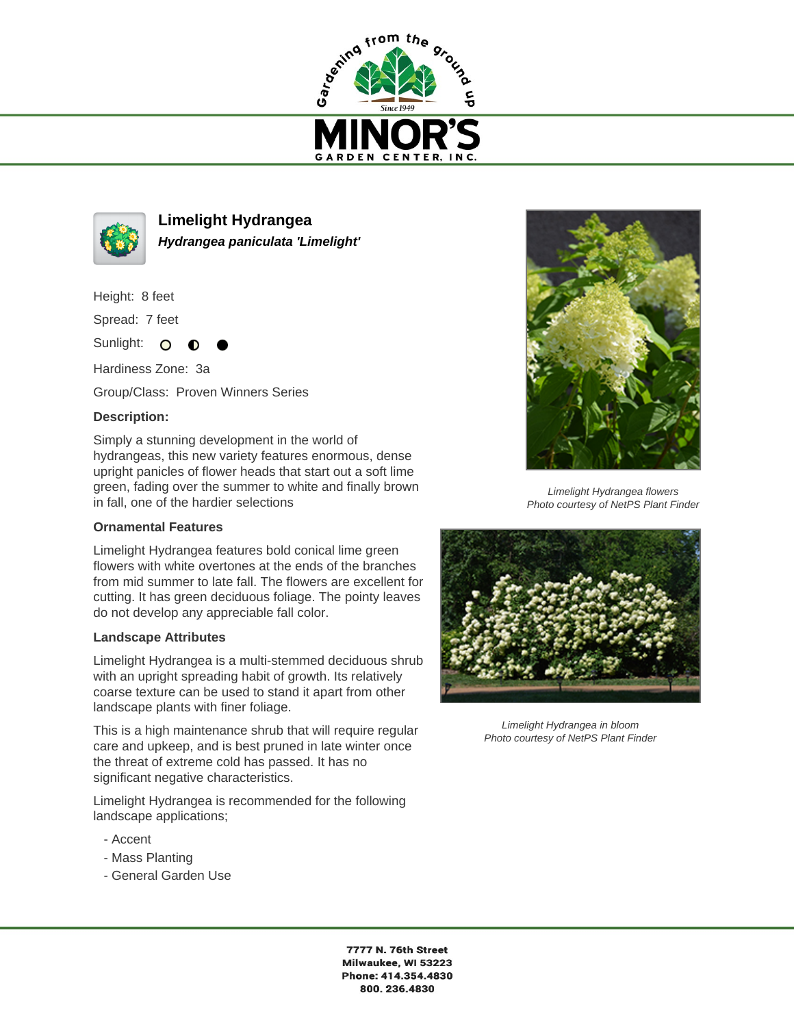



**Limelight Hydrangea Hydrangea paniculata 'Limelight'**

Height: 8 feet

Spread: 7 feet

Sunlight: O ∩

Hardiness Zone: 3a

Group/Class: Proven Winners Series

## **Description:**

Simply a stunning development in the world of hydrangeas, this new variety features enormous, dense upright panicles of flower heads that start out a soft lime green, fading over the summer to white and finally brown in fall, one of the hardier selections

## **Ornamental Features**

Limelight Hydrangea features bold conical lime green flowers with white overtones at the ends of the branches from mid summer to late fall. The flowers are excellent for cutting. It has green deciduous foliage. The pointy leaves do not develop any appreciable fall color.

## **Landscape Attributes**

Limelight Hydrangea is a multi-stemmed deciduous shrub with an upright spreading habit of growth. Its relatively coarse texture can be used to stand it apart from other landscape plants with finer foliage.

This is a high maintenance shrub that will require regular care and upkeep, and is best pruned in late winter once the threat of extreme cold has passed. It has no significant negative characteristics.

Limelight Hydrangea is recommended for the following landscape applications;

- Accent
- Mass Planting
- General Garden Use



Limelight Hydrangea flowers Photo courtesy of NetPS Plant Finder



Limelight Hydrangea in bloom Photo courtesy of NetPS Plant Finder